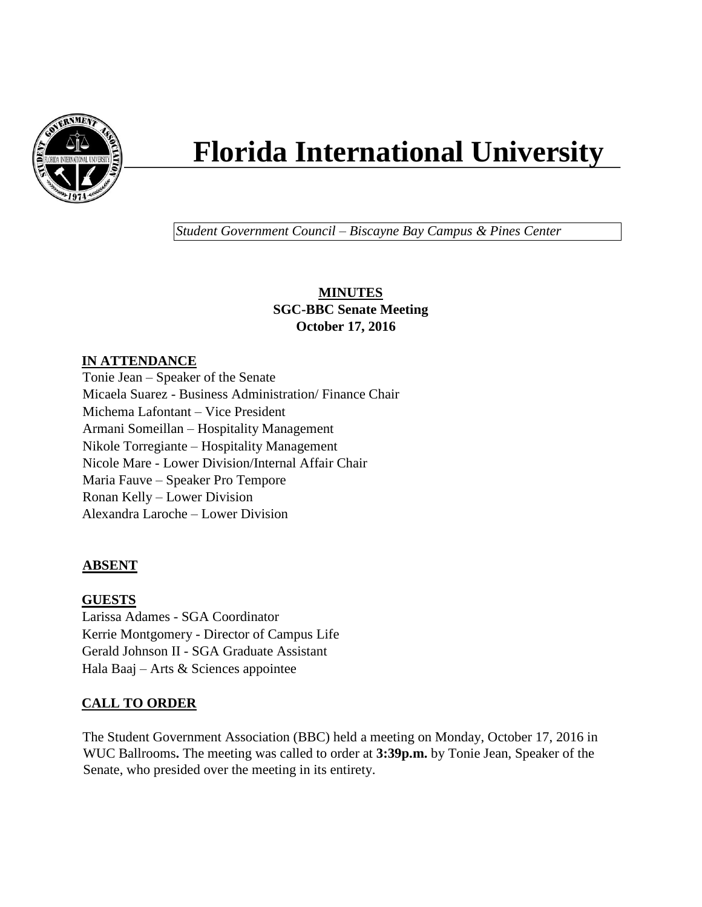

# **Florida International University**

*Student Government Council – Biscayne Bay Campus & Pines Center*

## **MINUTES SGC-BBC Senate Meeting October 17, 2016**

# **IN ATTENDANCE**

Tonie Jean – Speaker of the Senate Micaela Suarez - Business Administration/ Finance Chair Michema Lafontant – Vice President Armani Someillan – Hospitality Management Nikole Torregiante – Hospitality Management Nicole Mare - Lower Division/Internal Affair Chair Maria Fauve – Speaker Pro Tempore Ronan Kelly – Lower Division Alexandra Laroche – Lower Division

## **ABSENT**

## **GUESTS**

Larissa Adames - SGA Coordinator Kerrie Montgomery - Director of Campus Life Gerald Johnson II - SGA Graduate Assistant Hala Baaj – Arts & Sciences appointee

## **CALL TO ORDER**

The Student Government Association (BBC) held a meeting on Monday, October 17, 2016 in WUC Ballrooms**.** The meeting was called to order at **3:39p.m.** by Tonie Jean, Speaker of the Senate, who presided over the meeting in its entirety.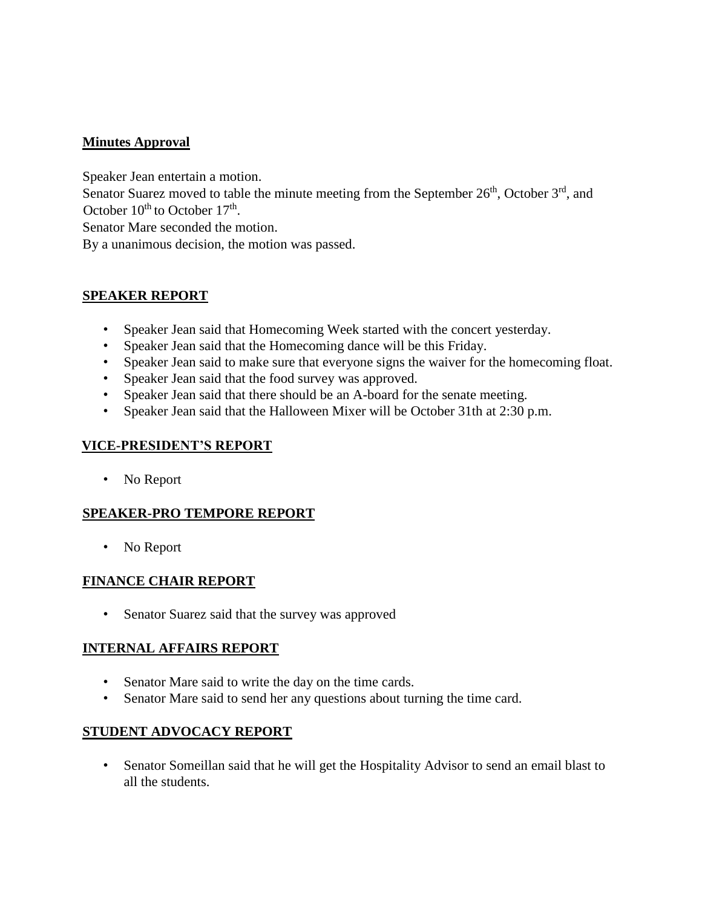## **Minutes Approval**

Speaker Jean entertain a motion.

Senator Suarez moved to table the minute meeting from the September  $26<sup>th</sup>$ , October  $3<sup>rd</sup>$ , and October  $10^{th}$  to October  $17^{th}$ .

Senator Mare seconded the motion.

By a unanimous decision, the motion was passed.

#### **SPEAKER REPORT**

- Speaker Jean said that Homecoming Week started with the concert yesterday.
- Speaker Jean said that the Homecoming dance will be this Friday.
- Speaker Jean said to make sure that everyone signs the waiver for the homecoming float.
- Speaker Jean said that the food survey was approved.
- Speaker Jean said that there should be an A-board for the senate meeting.
- Speaker Jean said that the Halloween Mixer will be October 31th at 2:30 p.m.

#### **VICE-PRESIDENT'S REPORT**

• No Report

#### **SPEAKER-PRO TEMPORE REPORT**

• No Report

#### **FINANCE CHAIR REPORT**

• Senator Suarez said that the survey was approved

#### **INTERNAL AFFAIRS REPORT**

- Senator Mare said to write the day on the time cards.
- Senator Mare said to send her any questions about turning the time card.

#### **STUDENT ADVOCACY REPORT**

• Senator Someillan said that he will get the Hospitality Advisor to send an email blast to all the students.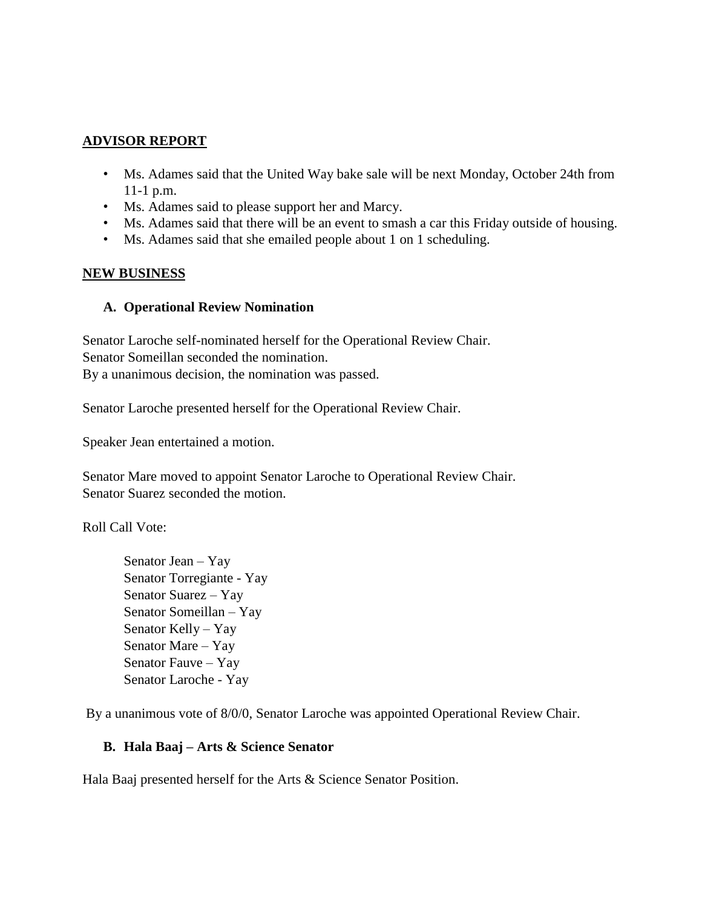#### **ADVISOR REPORT**

- Ms. Adames said that the United Way bake sale will be next Monday, October 24th from 11-1 p.m.
- Ms. Adames said to please support her and Marcy.
- Ms. Adames said that there will be an event to smash a car this Friday outside of housing.
- Ms. Adames said that she emailed people about 1 on 1 scheduling.

#### **NEW BUSINESS**

#### **A. Operational Review Nomination**

Senator Laroche self-nominated herself for the Operational Review Chair. Senator Someillan seconded the nomination. By a unanimous decision, the nomination was passed.

Senator Laroche presented herself for the Operational Review Chair.

Speaker Jean entertained a motion.

Senator Mare moved to appoint Senator Laroche to Operational Review Chair. Senator Suarez seconded the motion.

Roll Call Vote:

Senator Jean – Yay Senator Torregiante - Yay Senator Suarez – Yay Senator Someillan – Yay Senator Kelly – Yay Senator Mare – Yay Senator Fauve – Yay Senator Laroche - Yay

By a unanimous vote of 8/0/0, Senator Laroche was appointed Operational Review Chair.

#### **B. Hala Baaj – Arts & Science Senator**

Hala Baaj presented herself for the Arts & Science Senator Position.